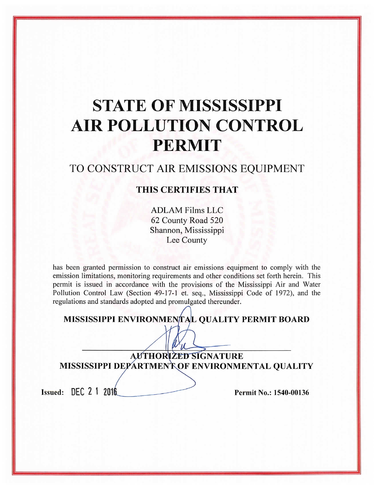# **STATE OF MISSISSIPPI AIR POLLUTION CONTROL PERMIT**

## TO CONSTRUCT AIR EMISSIONS EQUIPMENT

### THIS CERTIFIES THAT

**ADLAM Films LLC** 62 County Road 520 Shannon, Mississippi Lee County

has been granted permission to construct air emissions equipment to comply with the emission limitations, monitoring requirements and other conditions set forth herein. This permit is issued in accordance with the provisions of the Mississippi Air and Water Pollution Control Law (Section 49-17-1 et. seq., Mississippi Code of 1972), and the regulations and standards adopted and promulgated thereunder.

|  | MISSISSIPPI ENVIRONMENTAL QUALITY PERMIT BOARD |  |  |  |  |
|--|------------------------------------------------|--|--|--|--|
|--|------------------------------------------------|--|--|--|--|

**AUTHORIZED SIGNATURE** MISSISSIPPI DEPARTMENT OF ENVIRONMENTAL QUALITY

Issued: DEC 2 1 2016

Permit No.: 1540-00136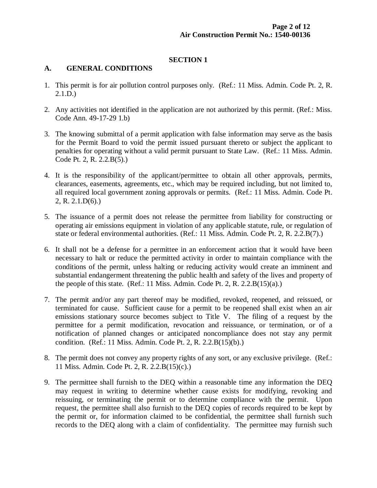#### **SECTION 1**

#### **A. GENERAL CONDITIONS**

- 1. This permit is for air pollution control purposes only. (Ref.: 11 Miss. Admin. Code Pt. 2, R. 2.1.D.)
- 2. Any activities not identified in the application are not authorized by this permit. (Ref.: Miss. Code Ann. 49-17-29 1.b)
- 3. The knowing submittal of a permit application with false information may serve as the basis for the Permit Board to void the permit issued pursuant thereto or subject the applicant to penalties for operating without a valid permit pursuant to State Law. (Ref.: 11 Miss. Admin. Code Pt. 2, R. 2.2.B(5).)
- 4. It is the responsibility of the applicant/permittee to obtain all other approvals, permits, clearances, easements, agreements, etc., which may be required including, but not limited to, all required local government zoning approvals or permits. (Ref.: 11 Miss. Admin. Code Pt.  $2, R. 2.1.D(6).$
- 5. The issuance of a permit does not release the permittee from liability for constructing or operating air emissions equipment in violation of any applicable statute, rule, or regulation of state or federal environmental authorities. (Ref.: 11 Miss. Admin. Code Pt. 2, R. 2.2.B(7).)
- 6. It shall not be a defense for a permittee in an enforcement action that it would have been necessary to halt or reduce the permitted activity in order to maintain compliance with the conditions of the permit, unless halting or reducing activity would create an imminent and substantial endangerment threatening the public health and safety of the lives and property of the people of this state. (Ref.: 11 Miss. Admin. Code Pt. 2, R. 2.2. $B(15)(a)$ .)
- 7. The permit and/or any part thereof may be modified, revoked, reopened, and reissued, or terminated for cause. Sufficient cause for a permit to be reopened shall exist when an air emissions stationary source becomes subject to Title V. The filing of a request by the permittee for a permit modification, revocation and reissuance, or termination, or of a notification of planned changes or anticipated noncompliance does not stay any permit condition. (Ref.: 11 Miss. Admin. Code Pt. 2, R. 2.2.B(15)(b).)
- 8. The permit does not convey any property rights of any sort, or any exclusive privilege. (Ref.: 11 Miss. Admin. Code Pt. 2, R. 2.2.B(15)(c).)
- 9. The permittee shall furnish to the DEQ within a reasonable time any information the DEQ may request in writing to determine whether cause exists for modifying, revoking and reissuing, or terminating the permit or to determine compliance with the permit. Upon request, the permittee shall also furnish to the DEQ copies of records required to be kept by the permit or, for information claimed to be confidential, the permittee shall furnish such records to the DEQ along with a claim of confidentiality. The permittee may furnish such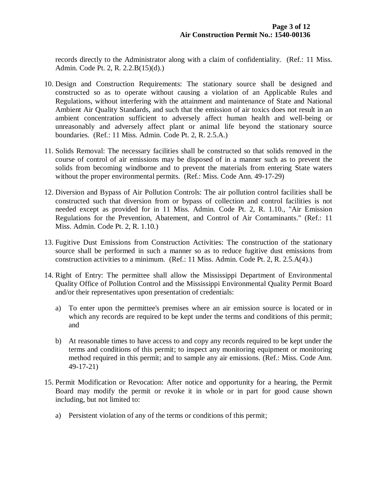records directly to the Administrator along with a claim of confidentiality. (Ref.: 11 Miss. Admin. Code Pt. 2, R. 2.2.B(15)(d).)

- 10. Design and Construction Requirements: The stationary source shall be designed and constructed so as to operate without causing a violation of an Applicable Rules and Regulations, without interfering with the attainment and maintenance of State and National Ambient Air Quality Standards, and such that the emission of air toxics does not result in an ambient concentration sufficient to adversely affect human health and well-being or unreasonably and adversely affect plant or animal life beyond the stationary source boundaries. (Ref.: 11 Miss. Admin. Code Pt. 2, R. 2.5.A.)
- 11. Solids Removal: The necessary facilities shall be constructed so that solids removed in the course of control of air emissions may be disposed of in a manner such as to prevent the solids from becoming windborne and to prevent the materials from entering State waters without the proper environmental permits. (Ref.: Miss. Code Ann. 49-17-29)
- 12. Diversion and Bypass of Air Pollution Controls: The air pollution control facilities shall be constructed such that diversion from or bypass of collection and control facilities is not needed except as provided for in 11 Miss. Admin. Code Pt. 2, R. 1.10., "Air Emission Regulations for the Prevention, Abatement, and Control of Air Contaminants." (Ref.: 11 Miss. Admin. Code Pt. 2, R. 1.10.)
- 13. Fugitive Dust Emissions from Construction Activities: The construction of the stationary source shall be performed in such a manner so as to reduce fugitive dust emissions from construction activities to a minimum. (Ref.: 11 Miss. Admin. Code Pt. 2, R. 2.5.A(4).)
- 14. Right of Entry: The permittee shall allow the Mississippi Department of Environmental Quality Office of Pollution Control and the Mississippi Environmental Quality Permit Board and/or their representatives upon presentation of credentials:
	- a) To enter upon the permittee's premises where an air emission source is located or in which any records are required to be kept under the terms and conditions of this permit; and
	- b) At reasonable times to have access to and copy any records required to be kept under the terms and conditions of this permit; to inspect any monitoring equipment or monitoring method required in this permit; and to sample any air emissions. (Ref.: Miss. Code Ann. 49-17-21)
- 15. Permit Modification or Revocation: After notice and opportunity for a hearing, the Permit Board may modify the permit or revoke it in whole or in part for good cause shown including, but not limited to:
	- a) Persistent violation of any of the terms or conditions of this permit;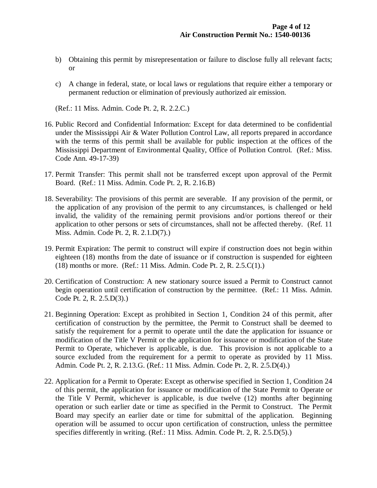- b) Obtaining this permit by misrepresentation or failure to disclose fully all relevant facts; or
- c) A change in federal, state, or local laws or regulations that require either a temporary or permanent reduction or elimination of previously authorized air emission.

(Ref.: 11 Miss. Admin. Code Pt. 2, R. 2.2.C.)

- 16. Public Record and Confidential Information: Except for data determined to be confidential under the Mississippi Air & Water Pollution Control Law, all reports prepared in accordance with the terms of this permit shall be available for public inspection at the offices of the Mississippi Department of Environmental Quality, Office of Pollution Control. (Ref.: Miss. Code Ann. 49-17-39)
- 17. Permit Transfer: This permit shall not be transferred except upon approval of the Permit Board. (Ref.: 11 Miss. Admin. Code Pt. 2, R. 2.16.B)
- 18. Severability: The provisions of this permit are severable. If any provision of the permit, or the application of any provision of the permit to any circumstances, is challenged or held invalid, the validity of the remaining permit provisions and/or portions thereof or their application to other persons or sets of circumstances, shall not be affected thereby. (Ref. 11 Miss. Admin. Code Pt. 2, R. 2.1.D(7).)
- 19. Permit Expiration: The permit to construct will expire if construction does not begin within eighteen (18) months from the date of issuance or if construction is suspended for eighteen (18) months or more. (Ref.: 11 Miss. Admin. Code Pt. 2, R. 2.5.C(1).)
- 20. Certification of Construction: A new stationary source issued a Permit to Construct cannot begin operation until certification of construction by the permittee. (Ref.: 11 Miss. Admin. Code Pt. 2, R. 2.5.D(3).)
- 21. Beginning Operation: Except as prohibited in Section 1, Condition 24 of this permit, after certification of construction by the permittee, the Permit to Construct shall be deemed to satisfy the requirement for a permit to operate until the date the application for issuance or modification of the Title V Permit or the application for issuance or modification of the State Permit to Operate, whichever is applicable, is due. This provision is not applicable to a source excluded from the requirement for a permit to operate as provided by 11 Miss. Admin. Code Pt. 2, R. 2.13.G. (Ref.: 11 Miss. Admin. Code Pt. 2, R. 2.5.D(4).)
- 22. Application for a Permit to Operate: Except as otherwise specified in Section 1, Condition 24 of this permit, the application for issuance or modification of the State Permit to Operate or the Title V Permit, whichever is applicable, is due twelve (12) months after beginning operation or such earlier date or time as specified in the Permit to Construct. The Permit Board may specify an earlier date or time for submittal of the application. Beginning operation will be assumed to occur upon certification of construction, unless the permittee specifies differently in writing. (Ref.: 11 Miss. Admin. Code Pt. 2, R. 2.5.D(5).)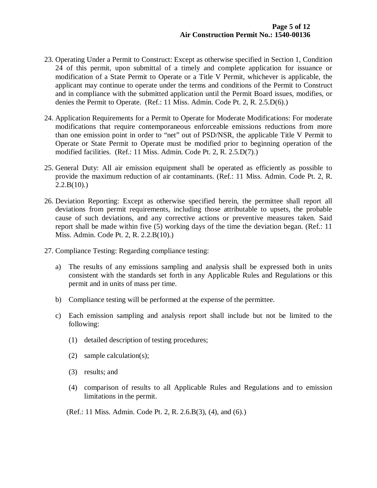- 23. Operating Under a Permit to Construct: Except as otherwise specified in Section 1, Condition 24 of this permit, upon submittal of a timely and complete application for issuance or modification of a State Permit to Operate or a Title V Permit, whichever is applicable, the applicant may continue to operate under the terms and conditions of the Permit to Construct and in compliance with the submitted application until the Permit Board issues, modifies, or denies the Permit to Operate. (Ref.: 11 Miss. Admin. Code Pt. 2, R. 2.5.D(6).)
- 24. Application Requirements for a Permit to Operate for Moderate Modifications: For moderate modifications that require contemporaneous enforceable emissions reductions from more than one emission point in order to "net" out of PSD/NSR, the applicable Title V Permit to Operate or State Permit to Operate must be modified prior to beginning operation of the modified facilities. (Ref.: 11 Miss. Admin. Code Pt. 2, R. 2.5.D(7).)
- 25. General Duty: All air emission equipment shall be operated as efficiently as possible to provide the maximum reduction of air contaminants. (Ref.: 11 Miss. Admin. Code Pt. 2, R.  $2.2.B(10).$
- 26. Deviation Reporting: Except as otherwise specified herein, the permittee shall report all deviations from permit requirements, including those attributable to upsets, the probable cause of such deviations, and any corrective actions or preventive measures taken. Said report shall be made within five (5) working days of the time the deviation began. (Ref.: 11 Miss. Admin. Code Pt. 2, R. 2.2.B(10).)
- 27. Compliance Testing: Regarding compliance testing:
	- a) The results of any emissions sampling and analysis shall be expressed both in units consistent with the standards set forth in any Applicable Rules and Regulations or this permit and in units of mass per time.
	- b) Compliance testing will be performed at the expense of the permittee.
	- c) Each emission sampling and analysis report shall include but not be limited to the following:
		- (1) detailed description of testing procedures;
		- (2) sample calculation(s);
		- (3) results; and
		- (4) comparison of results to all Applicable Rules and Regulations and to emission limitations in the permit.
		- (Ref.: 11 Miss. Admin. Code Pt. 2, R. 2.6.B(3), (4), and (6).)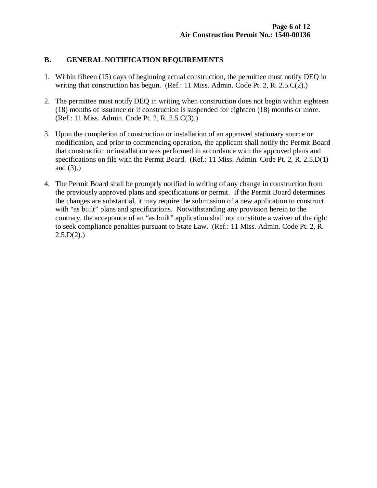#### **B. GENERAL NOTIFICATION REQUIREMENTS**

- 1. Within fifteen (15) days of beginning actual construction, the permittee must notify DEQ in writing that construction has begun. (Ref.: 11 Miss. Admin. Code Pt. 2, R. 2.5.C(2).)
- 2. The permittee must notify DEQ in writing when construction does not begin within eighteen (18) months of issuance or if construction is suspended for eighteen (18) months or more. (Ref.: 11 Miss. Admin. Code Pt. 2, R. 2.5.C(3).)
- 3. Upon the completion of construction or installation of an approved stationary source or modification, and prior to commencing operation, the applicant shall notify the Permit Board that construction or installation was performed in accordance with the approved plans and specifications on file with the Permit Board. (Ref.: 11 Miss. Admin. Code Pt. 2, R. 2.5.D(1) and (3).)
- 4. The Permit Board shall be promptly notified in writing of any change in construction from the previously approved plans and specifications or permit. If the Permit Board determines the changes are substantial, it may require the submission of a new application to construct with "as built" plans and specifications. Notwithstanding any provision herein to the contrary, the acceptance of an "as built" application shall not constitute a waiver of the right to seek compliance penalties pursuant to State Law. (Ref.: 11 Miss. Admin. Code Pt. 2, R.  $2.5.D(2).$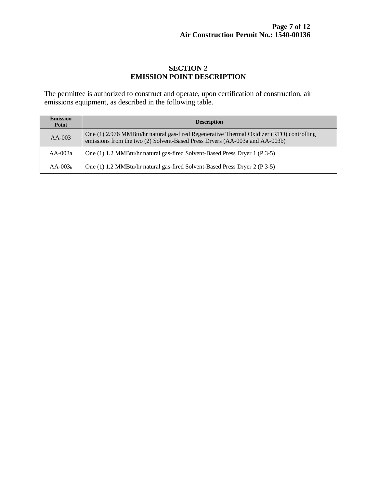#### **SECTION 2 EMISSION POINT DESCRIPTION**

The permittee is authorized to construct and operate, upon certification of construction, air emissions equipment, as described in the following table.

| <b>Emission</b><br>Point | <b>Description</b>                                                                                                                                                      |
|--------------------------|-------------------------------------------------------------------------------------------------------------------------------------------------------------------------|
| $AA-003$                 | One (1) 2.976 MMBtu/hr natural gas-fired Regenerative Thermal Oxidizer (RTO) controlling<br>emissions from the two (2) Solvent-Based Press Dryers (AA-003a and AA-003b) |
| $AA-003a$                | One (1) 1.2 MMBtu/hr natural gas-fired Solvent-Based Press Dryer 1 (P 3-5)                                                                                              |
| $AA-003b$                | One (1) 1.2 MMBtu/hr natural gas-fired Solvent-Based Press Dryer 2 (P 3-5)                                                                                              |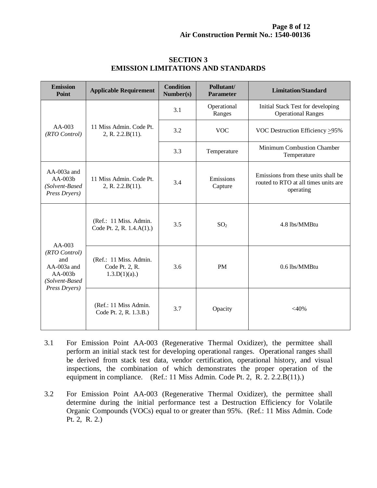| <b>Emission</b><br>Point                                                                          | <b>Applicable Requirement</b>                               | <b>Condition</b><br>Number(s) | Pollutant/<br><b>Parameter</b> | <b>Limitation/Standard</b>                                                               |  |
|---------------------------------------------------------------------------------------------------|-------------------------------------------------------------|-------------------------------|--------------------------------|------------------------------------------------------------------------------------------|--|
|                                                                                                   | 11 Miss Admin, Code Pt.<br>2, R. 2.2.B(11).                 | 3.1                           | Operational<br>Ranges          | Initial Stack Test for developing<br><b>Operational Ranges</b>                           |  |
| AA-003<br>(RTO Control)                                                                           |                                                             | 3.2                           | <b>VOC</b>                     | VOC Destruction Efficiency >95%                                                          |  |
|                                                                                                   |                                                             | 3.3                           | Temperature                    | Minimum Combustion Chamber<br>Temperature                                                |  |
| $AA-003a$ and<br>$AA-003b$<br>(Solvent-Based<br>Press Dryers)                                     | 11 Miss Admin. Code Pt.<br>2, R. 2.2.B(11).                 | 3.4                           | Emissions<br>Capture           | Emissions from these units shall be<br>routed to RTO at all times units are<br>operating |  |
| $AA-003$<br>(RTO Control)<br>and<br>$AA-003a$ and<br>$AA-003b$<br>(Solvent-Based<br>Press Dryers) | (Ref.: 11 Miss. Admin.<br>Code Pt. 2, R. 1.4.A(1).)         | 3.5                           | SO <sub>2</sub>                | 4.8 lbs/MMBtu                                                                            |  |
|                                                                                                   | (Ref.: 11 Miss. Admin.<br>Code Pt. 2, R.<br>$1.3.D(1)(a)$ . | 3.6                           | <b>PM</b>                      | 0.6 lbs/MMBtu                                                                            |  |
|                                                                                                   | (Ref.: 11 Miss Admin.<br>Code Pt. 2, R. 1.3.B.)             | 3.7                           | Opacity                        | $<$ 40%                                                                                  |  |

#### **SECTION 3 EMISSION LIMITATIONS AND STANDARDS**

- 3.1 For Emission Point AA-003 (Regenerative Thermal Oxidizer), the permittee shall perform an initial stack test for developing operational ranges. Operational ranges shall be derived from stack test data, vendor certification, operational history, and visual inspections, the combination of which demonstrates the proper operation of the equipment in compliance. (Ref.: 11 Miss Admin. Code Pt. 2, R. 2. 2.2.B(11).)
- 3.2 For Emission Point AA-003 (Regenerative Thermal Oxidizer), the permittee shall determine during the initial performance test a Destruction Efficiency for Volatile Organic Compounds (VOCs) equal to or greater than 95%. (Ref.: 11 Miss Admin. Code Pt. 2, R. 2.)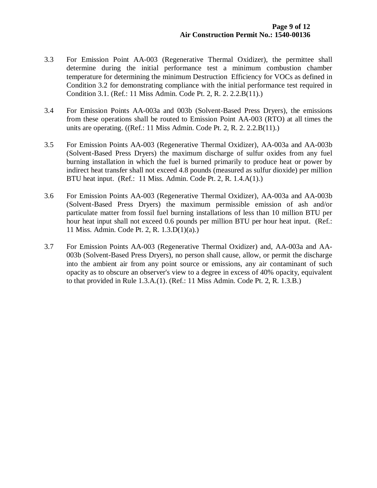- 3.3 For Emission Point AA-003 (Regenerative Thermal Oxidizer), the permittee shall determine during the initial performance test a minimum combustion chamber temperature for determining the minimum Destruction Efficiency for VOCs as defined in Condition 3.2 for demonstrating compliance with the initial performance test required in Condition 3.1. (Ref.: 11 Miss Admin. Code Pt. 2, R. 2. 2.2.B(11).)
- 3.4 For Emission Points AA-003a and 003b (Solvent-Based Press Dryers), the emissions from these operations shall be routed to Emission Point AA-003 (RTO) at all times the units are operating. ((Ref.: 11 Miss Admin. Code Pt. 2, R. 2. 2.2.B(11).)
- 3.5 For Emission Points AA-003 (Regenerative Thermal Oxidizer), AA-003a and AA-003b (Solvent-Based Press Dryers) the maximum discharge of sulfur oxides from any fuel burning installation in which the fuel is burned primarily to produce heat or power by indirect heat transfer shall not exceed 4.8 pounds (measured as sulfur dioxide) per million BTU heat input. (Ref.: 11 Miss. Admin. Code Pt. 2, R. 1.4.A(1).)
- 3.6 For Emission Points AA-003 (Regenerative Thermal Oxidizer), AA-003a and AA-003b (Solvent-Based Press Dryers) the maximum permissible emission of ash and/or particulate matter from fossil fuel burning installations of less than 10 million BTU per hour heat input shall not exceed 0.6 pounds per million BTU per hour heat input. (Ref.: 11 Miss. Admin. Code Pt. 2, R. 1.3.D(1)(a).)
- 3.7 For Emission Points AA-003 (Regenerative Thermal Oxidizer) and, AA-003a and AA-003b (Solvent-Based Press Dryers), no person shall cause, allow, or permit the discharge into the ambient air from any point source or emissions, any air contaminant of such opacity as to obscure an observer's view to a degree in excess of 40% opacity, equivalent to that provided in Rule 1.3.A.(1). (Ref.: 11 Miss Admin. Code Pt. 2, R. 1.3.B.)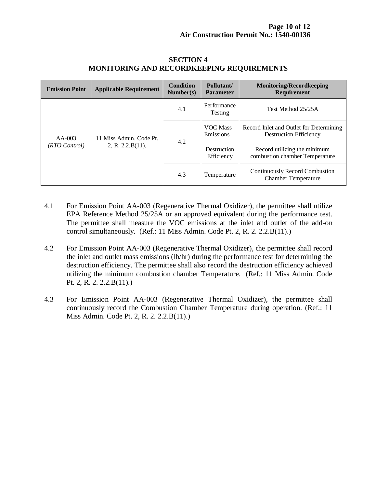| <b>Emission Point</b>     | <b>Applicable Requirement</b>                  | <b>Condition</b><br>Number(s) | Pollutant/<br><b>Parameter</b> | <b>Monitoring/Recordkeeping</b><br><b>Requirement</b>                    |
|---------------------------|------------------------------------------------|-------------------------------|--------------------------------|--------------------------------------------------------------------------|
| $AA-003$<br>(RTO Control) | 11 Miss Admin. Code Pt.<br>2, R. $2.2.B(11)$ . | 4.1                           | Performance<br>Testing         | Test Method 25/25A                                                       |
|                           |                                                | 4.2                           | <b>VOC Mass</b><br>Emissions   | Record Inlet and Outlet for Determining<br><b>Destruction Efficiency</b> |
|                           |                                                |                               | Destruction<br>Efficiency      | Record utilizing the minimum<br>combustion chamber Temperature           |
|                           |                                                | 4.3                           | Temperature                    | Continuously Record Combustion<br><b>Chamber Temperature</b>             |

#### **SECTION 4 MONITORING AND RECORDKEEPING REQUIREMENTS**

- 4.1 For Emission Point AA-003 (Regenerative Thermal Oxidizer), the permittee shall utilize EPA Reference Method 25/25A or an approved equivalent during the performance test. The permittee shall measure the VOC emissions at the inlet and outlet of the add-on control simultaneously. (Ref.: 11 Miss Admin. Code Pt. 2, R. 2. 2.2.B(11).)
- 4.2 For Emission Point AA-003 (Regenerative Thermal Oxidizer), the permittee shall record the inlet and outlet mass emissions (lb/hr) during the performance test for determining the destruction efficiency. The permittee shall also record the destruction efficiency achieved utilizing the minimum combustion chamber Temperature. (Ref.: 11 Miss Admin. Code Pt. 2, R. 2. 2.2.B(11).)
- 4.3 For Emission Point AA-003 (Regenerative Thermal Oxidizer), the permittee shall continuously record the Combustion Chamber Temperature during operation. (Ref.: 11 Miss Admin. Code Pt. 2, R. 2. 2.2.B(11).)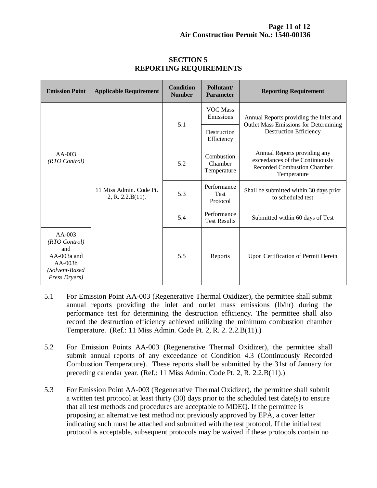| <b>Emission Point</b>                                                                             | <b>Applicable Requirement</b>               | <b>Condition</b><br><b>Number</b> | Pollutant/<br><b>Parameter</b>         | <b>Reporting Requirement</b>                                                                                            |  |
|---------------------------------------------------------------------------------------------------|---------------------------------------------|-----------------------------------|----------------------------------------|-------------------------------------------------------------------------------------------------------------------------|--|
| $AA-003$<br>(RTO Control)                                                                         | 11 Miss Admin. Code Pt.<br>2, R. 2.2.B(11). | 5.1                               | <b>VOC</b> Mass<br>Emissions           | Annual Reports providing the Inlet and<br><b>Outlet Mass Emissions for Determining</b><br><b>Destruction Efficiency</b> |  |
|                                                                                                   |                                             |                                   | Destruction<br>Efficiency              |                                                                                                                         |  |
|                                                                                                   |                                             | 5.2                               | Combustion<br>Chamber<br>Temperature   | Annual Reports providing any<br>exceedances of the Continuously<br><b>Recorded Combustion Chamber</b><br>Temperature    |  |
|                                                                                                   |                                             | 5.3                               | Performance<br><b>Test</b><br>Protocol | Shall be submitted within 30 days prior<br>to scheduled test                                                            |  |
|                                                                                                   |                                             | 5.4                               | Performance<br><b>Test Results</b>     | Submitted within 60 days of Test                                                                                        |  |
| $AA-003$<br>(RTO Control)<br>and<br>$AA-003a$ and<br>$AA-003h$<br>(Solvent-Based<br>Press Dryers) |                                             | 5.5                               | Reports                                | Upon Certification of Permit Herein                                                                                     |  |

#### **SECTION 5 REPORTING REQUIREMENTS**

- 5.1 For Emission Point AA-003 (Regenerative Thermal Oxidizer), the permittee shall submit annual reports providing the inlet and outlet mass emissions (lb/hr) during the performance test for determining the destruction efficiency. The permittee shall also record the destruction efficiency achieved utilizing the minimum combustion chamber Temperature. (Ref.: 11 Miss Admin. Code Pt. 2, R. 2. 2.2.B(11).)
- 5.2 For Emission Points AA-003 (Regenerative Thermal Oxidizer), the permittee shall submit annual reports of any exceedance of Condition 4.3 (Continuously Recorded Combustion Temperature). These reports shall be submitted by the 31st of January for preceding calendar year. (Ref.: 11 Miss Admin. Code Pt. 2, R. 2.2.B(11).)
- 5.3 For Emission Point AA-003 (Regenerative Thermal Oxidizer), the permittee shall submit a written test protocol at least thirty (30) days prior to the scheduled test date(s) to ensure that all test methods and procedures are acceptable to MDEQ. If the permittee is proposing an alternative test method not previously approved by EPA, a cover letter indicating such must be attached and submitted with the test protocol. If the initial test protocol is acceptable, subsequent protocols may be waived if these protocols contain no